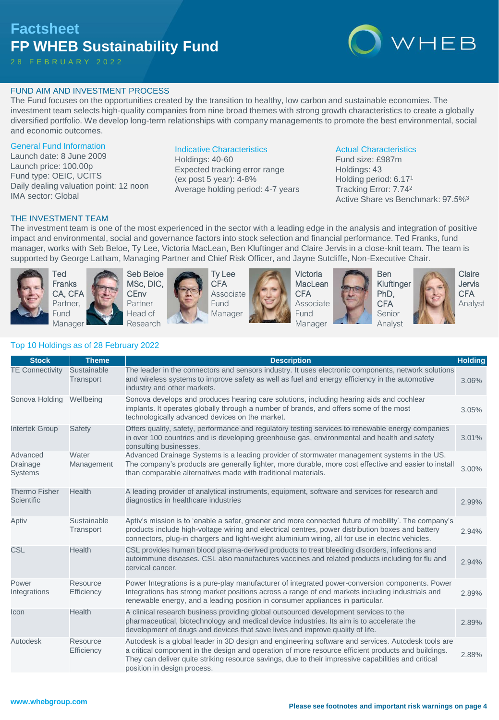## **Factsheet FP WHEB Sustainability Fund**

2 8 F E B R U A R Y 2 0 2 2

# WHEB

#### FUND AIM AND INVESTMENT PROCESS

The Fund focuses on the opportunities created by the transition to healthy, low carbon and sustainable economies. The investment team selects high-quality companies from nine broad themes with strong growth characteristics to create a globally diversified portfolio. We develop long-term relationships with company managements to promote the best environmental, social and economic outcomes.

#### General Fund Information

Launch date: 8 June 2009 Launch price: 100.00p Fund type: OEIC, UCITS Daily dealing valuation point: 12 noon IMA sector: Global

#### Indicative Characteristics

Holdings: 40-60 Expected tracking error range (ex post 5 year): 4-8% Average holding period: 4-7 years

#### Actual Characteristics

Fund size: £987m Holdings: 43 Holding period: 6.17<sup>1</sup> Tracking Error: 7.74<sup>2</sup> Active Share vs Benchmark: 97.5%<sup>3</sup>

#### THE INVESTMENT TEAM

The investment team is one of the most experienced in the sector with a leading edge in the analysis and integration of positive impact and environmental, social and governance factors into stock selection and financial performance. Ted Franks, fund manager, works with Seb Beloe, Ty Lee, Victoria MacLean, Ben Kluftinger and Claire Jervis in a close-knit team. The team is supported by George Latham, Managing Partner and Chief Risk Officer, and Jayne Sutcliffe, Non-Executive Chair.



Ted Franks CA, CFA Partner, Fund Manager





Ty Lee **CFA** Associate Fund Manager



Victoria **MacLean CFA** Associate **Fund** Manager





**Claire** Jervis **CFA** Analyst

### Top 10 Holdings as of 28 February 2022

| <b>Stock</b>                              | <b>Theme</b>             | <b>Description</b>                                                                                                                                                                                                                                                                                                                              | <b>Holding</b> |
|-------------------------------------------|--------------------------|-------------------------------------------------------------------------------------------------------------------------------------------------------------------------------------------------------------------------------------------------------------------------------------------------------------------------------------------------|----------------|
| <b>TE Connectivity</b>                    | Sustainable<br>Transport | The leader in the connectors and sensors industry. It uses electronic components, network solutions<br>and wireless systems to improve safety as well as fuel and energy efficiency in the automotive<br>industry and other markets.                                                                                                            | 3.06%          |
| Sonova Holding                            | Wellbeing                | Sonova develops and produces hearing care solutions, including hearing aids and cochlear<br>implants. It operates globally through a number of brands, and offers some of the most<br>technologically advanced devices on the market.                                                                                                           | 3.05%          |
| <b>Intertek Group</b>                     | Safety                   | Offers quality, safety, performance and regulatory testing services to renewable energy companies<br>in over 100 countries and is developing greenhouse gas, environmental and health and safety<br>consulting businesses.                                                                                                                      | 3.01%          |
| Advanced<br>Drainage<br><b>Systems</b>    | Water<br>Management      | Advanced Drainage Systems is a leading provider of stormwater management systems in the US.<br>The company's products are generally lighter, more durable, more cost effective and easier to install<br>than comparable alternatives made with traditional materials.                                                                           | 3.00%          |
| <b>Thermo Fisher</b><br><b>Scientific</b> | Health                   | A leading provider of analytical instruments, equipment, software and services for research and<br>diagnostics in healthcare industries                                                                                                                                                                                                         | 2.99%          |
| Aptiv                                     | Sustainable<br>Transport | Aptiv's mission is to 'enable a safer, greener and more connected future of mobility'. The company's<br>products include high-voltage wiring and electrical centres, power distribution boxes and battery<br>connectors, plug-in chargers and light-weight aluminium wiring, all for use in electric vehicles.                                  | 2.94%          |
| <b>CSL</b>                                | <b>Health</b>            | CSL provides human blood plasma-derived products to treat bleeding disorders, infections and<br>autoimmune diseases. CSL also manufactures vaccines and related products including for flu and<br>cervical cancer.                                                                                                                              | 2.94%          |
| Power<br>Integrations                     | Resource<br>Efficiency   | Power Integrations is a pure-play manufacturer of integrated power-conversion components. Power<br>Integrations has strong market positions across a range of end markets including industrials and<br>renewable energy, and a leading position in consumer appliances in particular.                                                           | 2.89%          |
| Icon                                      | Health                   | A clinical research business providing global outsourced development services to the<br>pharmaceutical, biotechnology and medical device industries. Its aim is to accelerate the<br>development of drugs and devices that save lives and improve quality of life.                                                                              | 2.89%          |
| Autodesk                                  | Resource<br>Efficiency   | Autodesk is a global leader in 3D design and engineering software and services. Autodesk tools are<br>a critical component in the design and operation of more resource efficient products and buildings.<br>They can deliver quite striking resource savings, due to their impressive capabilities and critical<br>position in design process. | 2.88%          |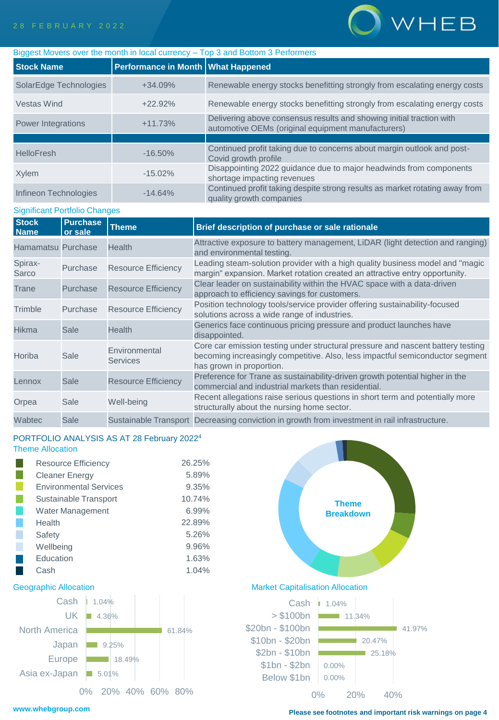

| Biggest Movers over the month in local currency – Top 3 and Bottom 3 Performers |                                    |                                                                                                                            |  |  |  |  |
|---------------------------------------------------------------------------------|------------------------------------|----------------------------------------------------------------------------------------------------------------------------|--|--|--|--|
| <b>Stock Name</b>                                                               | Performance in Month What Happened |                                                                                                                            |  |  |  |  |
| SolarEdge Technologies                                                          | $+34.09%$                          | Renewable energy stocks benefitting strongly from escalating energy costs                                                  |  |  |  |  |
| Vestas Wind                                                                     | $+22.92%$                          | Renewable energy stocks benefitting strongly from escalating energy costs                                                  |  |  |  |  |
| Power Integrations                                                              | $+11.73%$                          | Delivering above consensus results and showing initial traction with<br>automotive OEMs (original equipment manufacturers) |  |  |  |  |
|                                                                                 |                                    |                                                                                                                            |  |  |  |  |
| <b>HelloFresh</b>                                                               | $-16.50\%$                         | Continued profit taking due to concerns about margin outlook and post-<br>Covid growth profile                             |  |  |  |  |
| Xylem                                                                           | $-15.02\%$                         | Disappointing 2022 guidance due to major headwinds from components<br>shortage impacting revenues                          |  |  |  |  |
| Infineon Technologies                                                           | $-14.64%$                          | Continued profit taking despite strong results as market rotating away from<br>quality growth companies                    |  |  |  |  |

#### Significant Portfolio Changes

| <b>Stock</b><br><b>Name</b> | <b>Purchase</b><br>or sale | <b>Theme</b>                     | Brief description of purchase or sale rationale                                                                                                                                              |
|-----------------------------|----------------------------|----------------------------------|----------------------------------------------------------------------------------------------------------------------------------------------------------------------------------------------|
| Hamamatsu Purchase          |                            | <b>Health</b>                    | Attractive exposure to battery management, LiDAR (light detection and ranging)<br>and environmental testing.                                                                                 |
| Spirax-<br>Sarco            | Purchase                   | <b>Resource Efficiency</b>       | Leading steam-solution provider with a high quality business model and "magic<br>margin" expansion. Market rotation created an attractive entry opportunity.                                 |
| Trane                       | Purchase                   | <b>Resource Efficiency</b>       | Clear leader on sustainability within the HVAC space with a data-driven<br>approach to efficiency savings for customers.                                                                     |
| Trimble                     | Purchase                   | <b>Resource Efficiency</b>       | Position technology tools/service provider offering sustainability-focused<br>solutions across a wide range of industries.                                                                   |
| <b>Hikma</b>                | Sale                       | <b>Health</b>                    | Generics face continuous pricing pressure and product launches have<br>disappointed.                                                                                                         |
| Horiba                      | Sale                       | Environmental<br><b>Services</b> | Core car emission testing under structural pressure and nascent battery testing<br>becoming increasingly competitive. Also, less impactful semiconductor segment<br>has grown in proportion. |
| Lennox                      | Sale                       | <b>Resource Efficiency</b>       | Preference for Trane as sustainability-driven growth potential higher in the<br>commercial and industrial markets than residential.                                                          |
| Orpea                       | Sale                       | Well-being                       | Recent allegations raise serious questions in short term and potentially more<br>structurally about the nursing home sector.                                                                 |
| Wabtec                      | Sale                       |                                  | Sustainable Transport Decreasing conviction in growth from investment in rail infrastructure.                                                                                                |

#### PORTFOLIO ANALYSIS AS AT 28 February 2022<sup>4</sup> Theme Allocation

| <b>Resource Efficiency</b>    | 26.25% |
|-------------------------------|--------|
| <b>Cleaner Energy</b>         | 5.89%  |
| <b>Environmental Services</b> | 9.35%  |
| Sustainable Transport         | 10.74% |
| <b>Water Management</b>       | 6.99%  |
| Health                        | 22.89% |
| Safety                        | 5.26%  |
| Wellbeing                     | 9.96%  |
| Education                     | 1.63%  |
| Cash                          | 1.04%  |



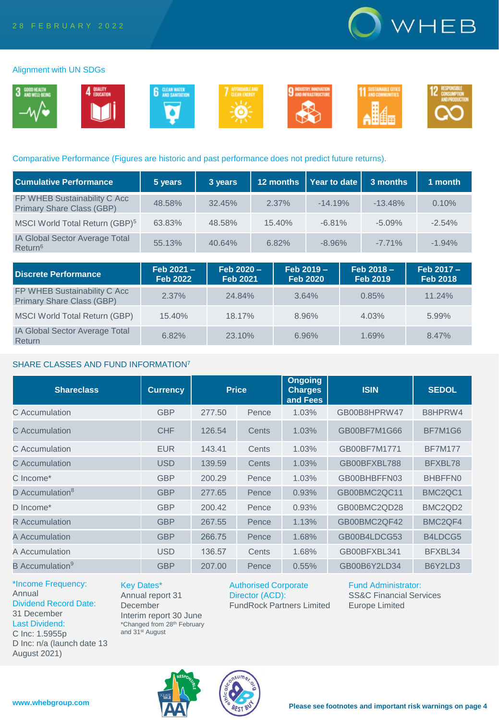

#### Alignment with UN SDGs



#### Comparative Performance (Figures are historic and past performance does not predict future returns).

| <b>Cumulative Performance</b>                             | 5 years | 3 years | 12 months | Year to date | 3 months  | 1 month  |
|-----------------------------------------------------------|---------|---------|-----------|--------------|-----------|----------|
| FP WHEB Sustainability C Acc<br>Primary Share Class (GBP) | 48.58%  | 32.45%  | 2.37%     | $-14.19%$    | $-13.48%$ | 0.10%    |
| MSCI World Total Return (GBP) <sup>5</sup>                | 63.83%  | 48.58%  | 15.40%    | $-6.81%$     | $-5.09%$  | $-2.54%$ |
| IA Global Sector Average Total<br>Return <sup>6</sup>     | 55.13%  | 40.64%  | 6.82%     | $-8.96%$     | $-7.71%$  | $-1.94%$ |

| <b>Discrete Performance</b>                                      | $Feb 2021 -$<br><b>Feb 2022</b> | $Feb 2020 -$<br><b>Feb 2021</b> | $Feb 2019 -$<br><b>Feb 2020</b> | $Feb 2018 -$<br><b>Feb 2019</b> | Feb 2017 -<br><b>Feb 2018</b> |
|------------------------------------------------------------------|---------------------------------|---------------------------------|---------------------------------|---------------------------------|-------------------------------|
| FP WHEB Sustainability C Acc<br><b>Primary Share Class (GBP)</b> | 2.37%                           | 24.84%                          | 3.64%                           | 0.85%                           | 11.24%                        |
| <b>MSCI World Total Return (GBP)</b>                             | 15.40%                          | 18.17%                          | 8.96%                           | 4.03%                           | 5.99%                         |
| <b>IA Global Sector Average Total</b><br>Return                  | 6.82%                           | 23.10%                          | 6.96%                           | 1.69%                           | 8.47%                         |

#### SHARE CLASSES AND FUND INFORMATION<sup>7</sup>

| <b>Shareclass</b>           | <b>Currency</b> | <b>Price</b> |       | <b>Ongoing</b><br><b>Charges</b><br>and Fees | <b>ISIN</b>  | <b>SEDOL</b>                     |
|-----------------------------|-----------------|--------------|-------|----------------------------------------------|--------------|----------------------------------|
| C Accumulation              | <b>GBP</b>      | 277.50       | Pence | 1.03%                                        | GB00B8HPRW47 | B8HPRW4                          |
| C Accumulation              | <b>CHF</b>      | 126.54       | Cents | 1.03%                                        | GB00BF7M1G66 | BF7M1G6                          |
| C Accumulation              | <b>EUR</b>      | 143.41       | Cents | 1.03%                                        | GB00BF7M1771 | <b>BF7M177</b>                   |
| C. Accumulation             | <b>USD</b>      | 139.59       | Cents | 1.03%                                        | GB00BFXBL788 | BFXBL78                          |
| C Income*                   | <b>GBP</b>      | 200.29       | Pence | 1.03%                                        | GB00BHBFFN03 | BHBFFN0                          |
| D Accumulation <sup>8</sup> | <b>GBP</b>      | 277.65       | Pence | 0.93%                                        | GB00BMC2QC11 | BMC <sub>2</sub> QC <sub>1</sub> |
| D Income*                   | <b>GBP</b>      | 200.42       | Pence | 0.93%                                        | GB00BMC2QD28 | BMC <sub>2</sub> Q <sub>D2</sub> |
| R Accumulation              | <b>GBP</b>      | 267.55       | Pence | 1.13%                                        | GB00BMC2QF42 | BMC <sub>2</sub> QF4             |
| A Accumulation              | <b>GBP</b>      | 266.75       | Pence | 1.68%                                        | GB00B4LDCG53 | B4LDCG5                          |
| A Accumulation              | <b>USD</b>      | 136.57       | Cents | 1.68%                                        | GB00BFXBL341 | BFXBL34                          |
| B Accumulation <sup>9</sup> | <b>GBP</b>      | 207.00       | Pence | 0.55%                                        | GB00B6Y2LD34 | B6Y2LD3                          |

\*Income Frequency: Annual Dividend Record Date: 31 December Last Dividend: C Inc: 1.5955p D Inc: n/a (launch date 13 August 2021)

Key Dates\* Annual report 31 December Interim report 30 June \*Changed from 28th February and 31st August

Authorised Corporate Director (ACD): FundRock Partners Limited Fund Administrator: SS&C Financial Services Europe Limited